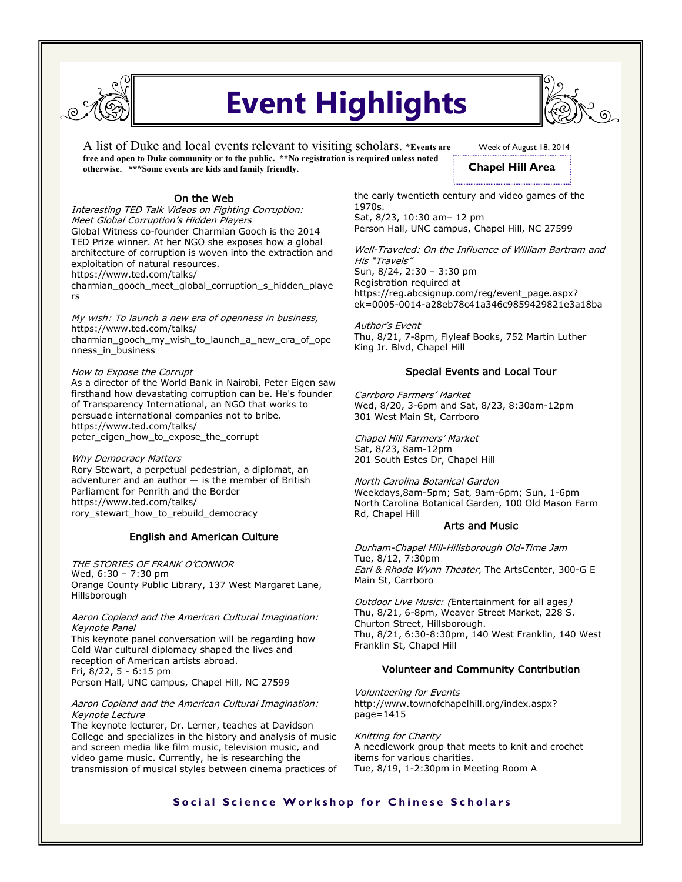

# **Event Highlights**

A list of Duke and local events relevant to visiting scholars. **\*Events are free and open to Duke community or to the public. \*\*No registration is required unless noted otherwise. \*\*\*Some events are kids and family friendly.** 



Interesting TED Talk Videos on Fighting Corruption: Meet Global Corruption's Hidden Players Global Witness co-founder Charmian Gooch is the 2014 TED Prize winner. At her NGO she exposes how a global architecture of corruption is woven into the extraction and exploitation of natural resources. https://www.ted.com/talks/

charmian\_gooch\_meet\_global\_corruption\_s\_hidden\_playe rs

My wish: To launch a new era of openness in business, https://www.ted.com/talks/ charmian\_gooch\_my\_wish\_to\_launch\_a\_new\_era\_of\_ope nness\_in\_business

How to Expose the Corrupt As a director of the World Bank in Nairobi, Peter Eigen saw firsthand how devastating corruption can be. He's founder of Transparency International, an NGO that works to persuade international companies not to bribe. https://www.ted.com/talks/ peter\_eigen\_how\_to\_expose\_the\_corrupt

Why Democracy Matters Rory Stewart, a perpetual pedestrian, a diplomat, an adventurer and an author — is the member of British Parliament for Penrith and the Border https://www.ted.com/talks/ rory\_stewart\_how\_to\_rebuild\_democracy

# English and American Culture

THE STORIES OF FRANK O'CONNOR Wed, 6:30 – 7:30 pm Orange County Public Library, 137 West Margaret Lane, Hillsborough

Aaron Copland and the American Cultural Imagination: Keynote Panel This keynote panel conversation will be regarding how Cold War cultural diplomacy shaped the lives and reception of American artists abroad. Fri, 8/22, 5 - 6:15 pm Person Hall, UNC campus, Chapel Hill, NC 27599

#### Aaron Copland and the American Cultural Imagination: Keynote Lecture

The keynote lecturer, Dr. Lerner, teaches at Davidson College and specializes in the history and analysis of music and screen media like film music, television music, and video game music. Currently, he is researching the transmission of musical styles between cinema practices of Week of August 18, 2014

**Chapel Hill Area**

the early twentieth century and video games of the 1970s. Sat, 8/23, 10:30 am– 12 pm

Person Hall, UNC campus, Chapel Hill, NC 27599

Well-Traveled: On the Influence of William Bartram and His "Travels" Sun, 8/24, 2:30 – 3:30 pm Registration required at [https://reg.abcsignup.com/reg/event\\_page.aspx?](https://reg.abcsignup.com/reg/event_page.aspx?ek=0005-0014-a28eb78c41a346c9859429821e3a18ba) [ek=0005-0014-a28eb78c41a346c9859429821e3a18ba](https://reg.abcsignup.com/reg/event_page.aspx?ek=0005-0014-a28eb78c41a346c9859429821e3a18ba)

Author's Event Thu, 8/21, 7-8pm, Flyleaf Books, 752 Martin Luther King Jr. Blvd, Chapel Hill

# Special Events and Local Tour

Carrboro Farmers' Market Wed, 8/20, 3-6pm and Sat, 8/23, 8:30am-12pm 301 West Main St, Carrboro

Chapel Hill Farmers' Market Sat, 8/23, 8am-12pm 201 South Estes Dr, Chapel Hill

North Carolina Botanical Garden Weekdays,8am-5pm; Sat, 9am-6pm; Sun, 1-6pm North Carolina Botanical Garden, 100 Old Mason Farm Rd, Chapel Hill

## Arts and Music

Durham-Chapel Hill-Hillsborough Old-Time Jam Tue, 8/12, 7:30pm Earl & Rhoda Wynn Theater, The ArtsCenter, 300-G E Main St, Carrboro

Outdoor Live Music: (Entertainment for all ages) Thu, 8/21, 6-8pm, Weaver Street Market, 228 S. Churton Street, Hillsborough. Thu, 8/21, 6:30-8:30pm, 140 West Franklin, 140 West Franklin St, Chapel Hill

# Volunteer and Community Contribution

Volunteering for Events http://www.townofchapelhill.org/index.aspx? page=1415

Knitting for Charity A needlework group that meets to knit and crochet items for various charities. Tue, 8/19, 1-2:30pm in Meeting Room A

# **Social Science Workshop for Chinese Scholars**